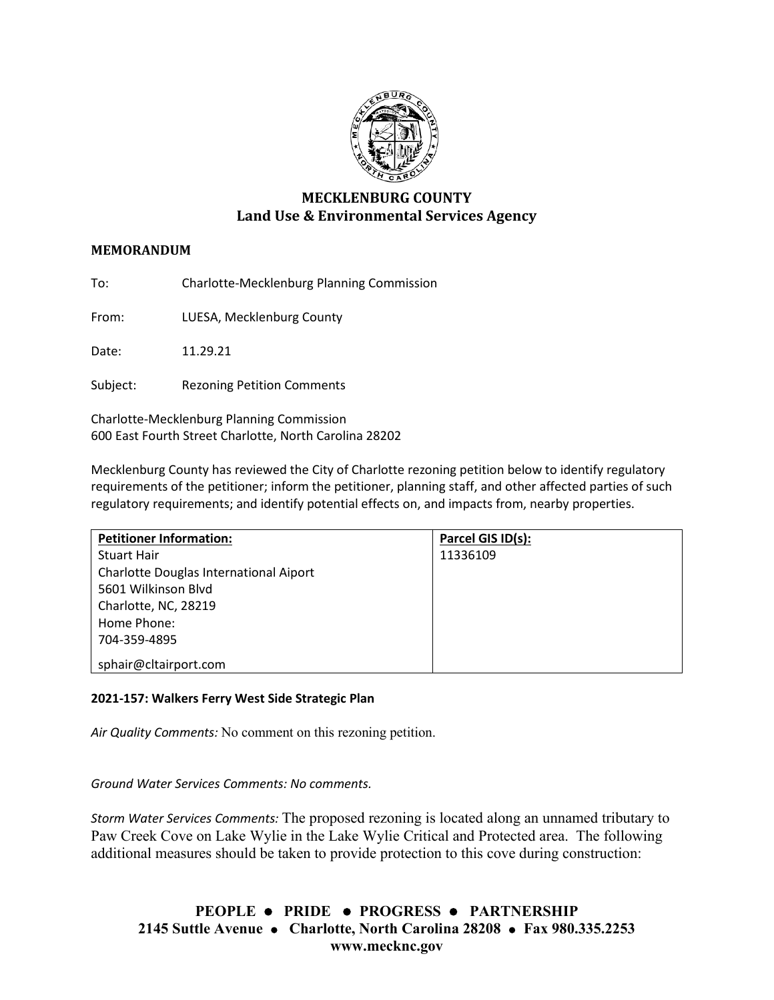

# **MECKLENBURG COUNTY Land Use & Environmental Services Agency**

## **MEMORANDUM**

To: Charlotte-Mecklenburg Planning Commission

From: LUESA, Mecklenburg County

Date: 11.29.21

Subject: Rezoning Petition Comments

Charlotte-Mecklenburg Planning Commission 600 East Fourth Street Charlotte, North Carolina 28202

Mecklenburg County has reviewed the City of Charlotte rezoning petition below to identify regulatory requirements of the petitioner; inform the petitioner, planning staff, and other affected parties of such regulatory requirements; and identify potential effects on, and impacts from, nearby properties.

| <b>Petitioner Information:</b>         | Parcel GIS ID(s): |
|----------------------------------------|-------------------|
| <b>Stuart Hair</b>                     | 11336109          |
| Charlotte Douglas International Aiport |                   |
| 5601 Wilkinson Blvd                    |                   |
| Charlotte, NC, 28219                   |                   |
| Home Phone:                            |                   |
| 704-359-4895                           |                   |
| sphair@cltairport.com                  |                   |

### **2021-157: Walkers Ferry West Side Strategic Plan**

*Air Quality Comments:* No comment on this rezoning petition.

*Ground Water Services Comments: No comments.*

*Storm Water Services Comments:* The proposed rezoning is located along an unnamed tributary to Paw Creek Cove on Lake Wylie in the Lake Wylie Critical and Protected area. The following additional measures should be taken to provide protection to this cove during construction:

**PEOPLE PRIDE PROGRESS PARTNERSHIP 2145 Suttle Avenue Charlotte, North Carolina 28208 Fax 980.335.2253 www.mecknc.gov**